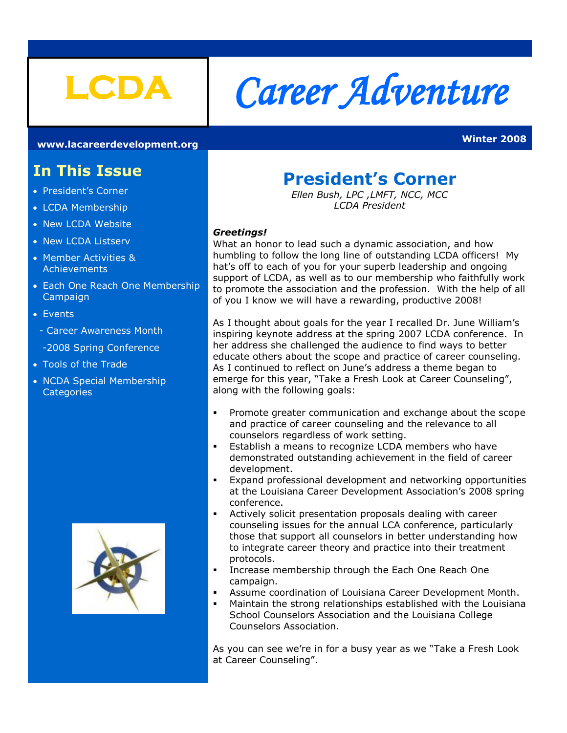

# **LCDA** *Career Adventure*

**[www.lacareerdevelopment.org](http://www.lacareerdevelopment.org/) Winter 2008** 

# **In This Issue**

- President's Corner
- LCDA Membership
- New LCDA Website
- New LCDA Listserv
- **Member Activities & Achievements**
- Each One Reach One Membership Campaign
- Events
- Career Awareness Month
- -2008 Spring Conference
- Tools of the Trade
- NCDA Special Membership **Categories**



# **President's Corner**

*Ellen Bush, LPC ,LMFT, NCC, MCC LCDA President*

#### *Greetings!*

What an honor to lead such a dynamic association, and how humbling to follow the long line of outstanding LCDA officers! My hat's off to each of you for your superb leadership and ongoing support of LCDA, as well as to our membership who faithfully work to promote the association and the profession. With the help of all of you I know we will have a rewarding, productive 2008!

As I thought about goals for the year I recalled Dr. June William's inspiring keynote address at the spring 2007 LCDA conference. In her address she challenged the audience to find ways to better educate others about the scope and practice of career counseling. As I continued to reflect on June's address a theme began to emerge for this year, "Take a Fresh Look at Career Counseling", along with the following goals:

- Promote greater communication and exchange about the scope and practice of career counseling and the relevance to all counselors regardless of work setting.
- **Establish a means to recognize LCDA members who have** demonstrated outstanding achievement in the field of career development.
- Expand professional development and networking opportunities at the Louisiana Career Development Association's 2008 spring conference.
- Actively solicit presentation proposals dealing with career counseling issues for the annual LCA conference, particularly those that support all counselors in better understanding how to integrate career theory and practice into their treatment protocols.
- Increase membership through the Each One Reach One campaign.
- Assume coordination of Louisiana Career Development Month.
- Maintain the strong relationships established with the Louisiana School Counselors Association and the Louisiana College Counselors Association.

As you can see we're in for a busy year as we "Take a Fresh Look at Career Counseling".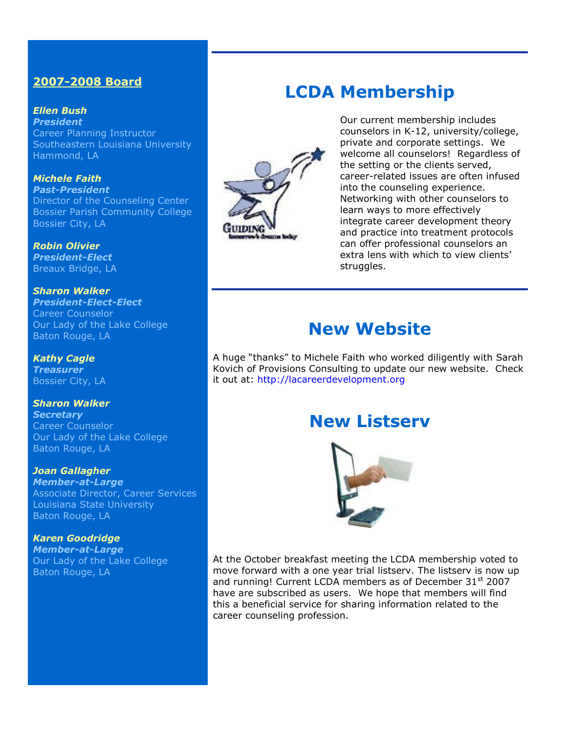# **2007-2008 Board**

*Ellen Bush President* Career Planning Instructor Southeastern Louisiana University Hammond, LA

*Michele Faith Past-President* Director of the Counseling Center Bossier Parish Community College Bossier City, LA

*Robin Olivier President-Elect* Breaux Bridge, LA

*Sharon Walker President-Elect-Elect* Career Counselor Our Lady of the Lake College Baton Rouge, LA

*Kathy Cagle Treasurer* Bossier City, LA

*Sharon Walker Secretary* Career Counselor Our Lady of the Lake College Baton Rouge, LA

*Joan Gallagher Member-at-Large* Associate Director, Career Services Louisiana State University Baton Rouge, LA

*Karen Goodridge Member-at-Large* Our Lady of the Lake College Baton Rouge, LA



**LCDA Membership**

Our current membership includes counselors in K-12, university/college, private and corporate settings. We welcome all counselors! Regardless of the setting or the clients served, career-related issues are often infused into the counseling experience. Networking with other counselors to learn ways to more effectively integrate career development theory and practice into treatment protocols can offer professional counselors an extra lens with which to view clients' struggles.

# **New Website**

A huge "thanks" to Michele Faith who worked diligently with Sarah Kovich of Provisions Consulting to update our new website. Check it out at: [http://lacareerdevelopment.org](http://lacareerdevelopment.org/)

# **New Listserv**



At the October breakfast meeting the LCDA membership voted to move forward with a one year trial listserv. The listserv is now up and running! Current LCDA members as of December 31<sup>st</sup> 2007 have are subscribed as users. We hope that members will find this a beneficial service for sharing information related to the career counseling profession.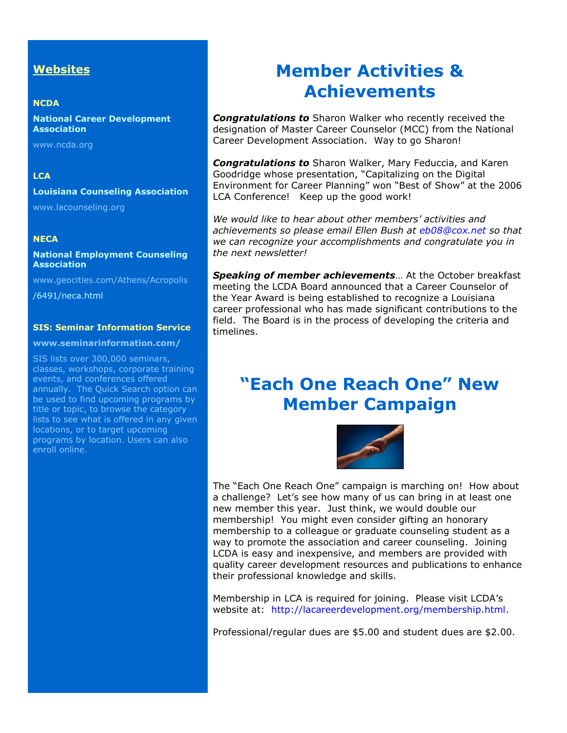## **Websites**

#### **NCDA**

**National Career Development Association**

www.ncda.org

#### **LCA**

#### **Louisiana Counseling Association**

[www.lacounseling.org](http://www.lacounseling.org/)

#### **NECA**

#### **National Employment Counseling Association**

[www.geocities.com/Athens/Acropolis](http://www.geocities.com/Athens/Acropolis)

/6491/neca.html

#### **[SIS: Seminar Information Service](http://209.235.208.145/cgi-bin/WebSuite/tcsAssnWebSuite.pl?Action=FollowLinkItem&RecordID=225&AssnID=NCDA&DBCode=130285)**

### **www.seminarinformation.com/**

SIS lists over 300,000 seminars, classes, workshops, corporate training events, and conferences offered annually. The Quick Search option can be used to find upcoming programs by title or topic, to browse the category lists to see what is offered in any given locations, or to target upcoming programs by location. Users can also enroll online.

# **Member Activities & Achievements**

*Congratulations to* Sharon Walker who recently received the designation of Master Career Counselor (MCC) from the National Career Development Association. Way to go Sharon!

*Congratulations to* Sharon Walker, Mary Feduccia, and Karen Goodridge whose presentation, "Capitalizing on the Digital Environment for Career Planning" won "Best of Show" at the 2006 LCA Conference! Keep up the good work!

*We would like to hear about other members' activities and achievements so please email Ellen Bush at [eb08@cox.net](mailto:eb08@cox.net) so that we can recognize your accomplishments and congratulate you in the next newsletter!*

*Speaking of member achievements*… At the October breakfast meeting the LCDA Board announced that a Career Counselor of the Year Award is being established to recognize a Louisiana career professional who has made significant contributions to the field. The Board is in the process of developing the criteria and timelines.

# **"Each One Reach One" New Member Campaign**



The "Each One Reach One" campaign is marching on! How about a challenge? Let's see how many of us can bring in at least one new member this year. Just think, we would double our membership! You might even consider gifting an honorary membership to a colleague or graduate counseling student as a way to promote the association and career counseling. Joining LCDA is easy and inexpensive, and members are provided with quality career development resources and publications to enhance their professional knowledge and skills.

Membership in LCA is required for joining. Please visit LCDA's website at: [http://lacareerdevelopment.org/membership.html.](http://lacareerdevelopment.org/membership.html)

Professional/regular dues are \$5.00 and student dues are \$2.00.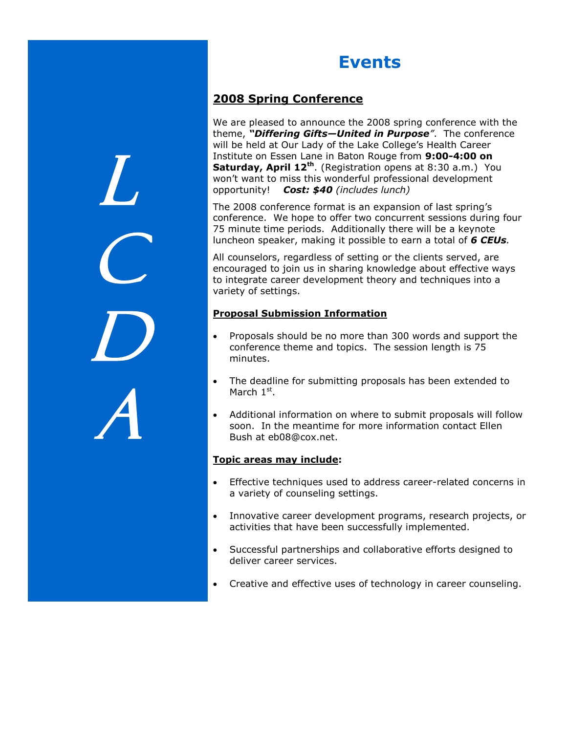# **Events**

# **2008 Spring Conference**

 $L_{-}$ 

 $\mathcal C$ 

D

A

We are pleased to announce the 2008 spring conference with the theme, *"Differing Gifts—United in Purpose"*. The conference will be held at Our Lady of the Lake College's Health Career Institute on Essen Lane in Baton Rouge from **9:00-4:00 on Saturday, April 12th**. (Registration opens at 8:30 a.m.) You won't want to miss this wonderful professional development opportunity! *Cost: \$40 (includes lunch)*

The 2008 conference format is an expansion of last spring's conference. We hope to offer two concurrent sessions during four 75 minute time periods. Additionally there will be a keynote luncheon speaker, making it possible to earn a total of *6 CEUs.*

All counselors, regardless of setting or the clients served, are encouraged to join us in sharing knowledge about effective ways to integrate career development theory and techniques into a variety of settings.

## **Proposal Submission Information**

- Proposals should be no more than 300 words and support the conference theme and topics. The session length is 75 minutes.
- The deadline for submitting proposals has been extended to March 1<sup>st</sup>.
- Additional information on where to submit proposals will follow soon. In the meantime for more information contact Ellen Bush at eb08@cox.net.

## **Topic areas may include:**

- Effective techniques used to address career-related concerns in a variety of counseling settings.
- Innovative career development programs, research projects, or activities that have been successfully implemented.
- Successful partnerships and collaborative efforts designed to deliver career services.
- Creative and effective uses of technology in career counseling.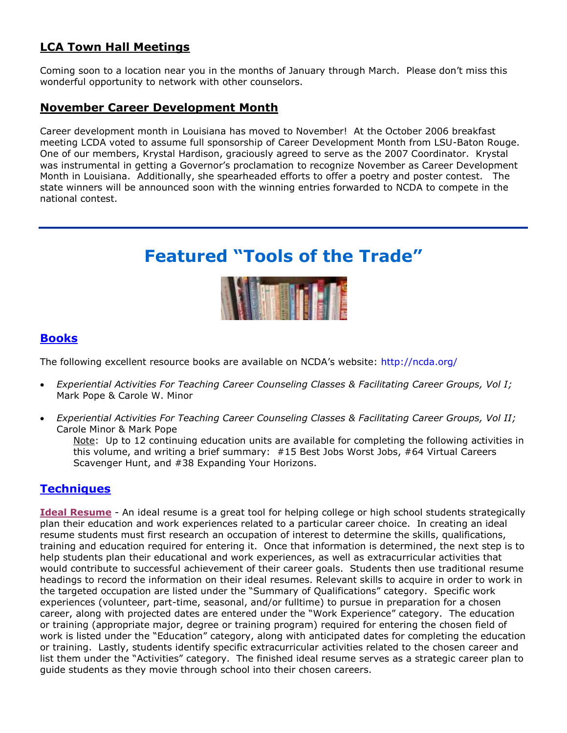# **LCA Town Hall Meetings**

Coming soon to a location near you in the months of January through March. Please don't miss this wonderful opportunity to network with other counselors.

# **November Career Development Month**

Career development month in Louisiana has moved to November! At the October 2006 breakfast meeting LCDA voted to assume full sponsorship of Career Development Month from LSU-Baton Rouge. One of our members, Krystal Hardison, graciously agreed to serve as the 2007 Coordinator. Krystal was instrumental in getting a Governor's proclamation to recognize November as Career Development Month in Louisiana. Additionally, she spearheaded efforts to offer a poetry and poster contest. The state winners will be announced soon with the winning entries forwarded to NCDA to compete in the national contest.

# **Featured "Tools of the Trade"**



# **Books**

The following excellent resource books are available on NCDA's website: <http://ncda.org/>

- *[Experiential Activities For Teaching Career Counseling Classes & Facilitating Career Groups, Vol I;](http://209.235.208.145/cgi-bin/WebSuite/tcsAssnWebSuite.pl?Action=DisplayBuyersDetails&RecordID=10&Sections=A&IncludeDropped=&ReturnFunction=DisplayBuyersIndex&Style=&AssnID=NCDA&DBCode=130285)*  Mark Pope & Carole W. Minor
- *[Experiential Activities For Teaching Career Counseling Classes & Facilitating Career Groups, Vol II;](http://209.235.208.145/cgi-bin/WebSuite/tcsAssnWebSuite.pl?Action=DisplayBuyersDetails&RecordID=51&Sections=A&IncludeDropped=&ReturnFunction=DisplayBuyersIndex&Style=&AssnID=NCDA&DBCode=130285)*  Carole Minor & Mark Pope

Note: Up to 12 continuing education units are available for completing the following activities in this volume, and writing a brief summary: #15 Best Jobs Worst Jobs, #64 Virtual Careers Scavenger Hunt, and #38 Expanding Your Horizons.

# **Techniques**

**Ideal Resume** - An ideal resume is a great tool for helping college or high school students strategically plan their education and work experiences related to a particular career choice. In creating an ideal resume students must first research an occupation of interest to determine the skills, qualifications, training and education required for entering it. Once that information is determined, the next step is to help students plan their educational and work experiences, as well as extracurricular activities that would contribute to successful achievement of their career goals. Students then use traditional resume headings to record the information on their ideal resumes. Relevant skills to acquire in order to work in the targeted occupation are listed under the "Summary of Qualifications" category. Specific work experiences (volunteer, part-time, seasonal, and/or fulltime) to pursue in preparation for a chosen career, along with projected dates are entered under the "Work Experience" category. The education or training (appropriate major, degree or training program) required for entering the chosen field of work is listed under the "Education" category, along with anticipated dates for completing the education or training. Lastly, students identify specific extracurricular activities related to the chosen career and list them under the "Activities" category. The finished ideal resume serves as a strategic career plan to guide students as they movie through school into their chosen careers.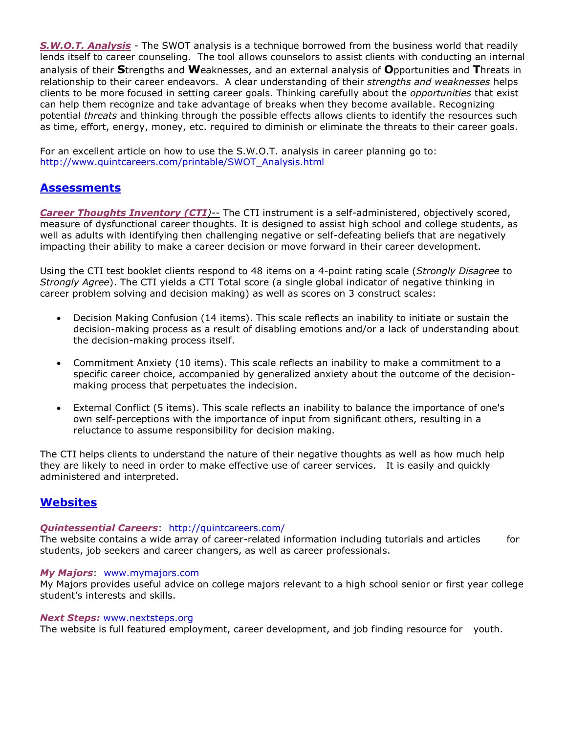*S.W.O.T. Analysis* - The SWOT analysis is a technique borrowed from the business world that readily lends itself to career counseling. The tool allows counselors to assist clients with conducting an internal analysis of their **S**trengths and **W**eaknesses, and an external analysis of **O**pportunities and **T**hreats in relationship to their career endeavors. A clear understanding of their *strengths and weaknesses* helps clients to be more focused in setting career goals. Thinking carefully about the *opportunities* that exist can help them recognize and take advantage of breaks when they become available. Recognizing potential *threats* and thinking through the possible effects allows clients to identify the resources such as time, effort, energy, money, etc. required to diminish or eliminate the threats to their career goals.

For an excellent article on how to use the S.W.O.T. analysis in career planning go to: [http://www.quintcareers.com/printable/SWOT\\_Analysis.html](http://www.quintcareers.com/printable/SWOT_Analysis.html)

# **Assessments**

**Career Thoughts Inventory (CTI**)-- The CTI instrument is a self-administered, objectively scored, measure of dysfunctional career thoughts. It is designed to assist high school and college students, as well as adults with identifying then challenging negative or self-defeating beliefs that are negatively impacting their ability to make a career decision or move forward in their career development.

Using the CTI test booklet clients respond to 48 items on a 4-point rating scale (*Strongly Disagree* to *Strongly Agree*). The CTI yields a CTI Total score (a single global indicator of negative thinking in career problem solving and decision making) as well as scores on 3 construct scales:

- Decision Making Confusion (14 items). This scale reflects an inability to initiate or sustain the decision-making process as a result of disabling emotions and/or a lack of understanding about the decision-making process itself.
- Commitment Anxiety (10 items). This scale reflects an inability to make a commitment to a specific career choice, accompanied by generalized anxiety about the outcome of the decisionmaking process that perpetuates the indecision.
- External Conflict (5 items). This scale reflects an inability to balance the importance of one's own self-perceptions with the importance of input from significant others, resulting in a reluctance to assume responsibility for decision making.

The CTI helps clients to understand the nature of their negative thoughts as well as how much help they are likely to need in order to make effective use of career services. It is easily and quickly administered and interpreted.

# **Websites**

#### *Quintessential Careers*: <http://quintcareers.com/>

The website contains a wide array of career-related information including tutorials and articles for students, job seekers and career changers, as well as career professionals.

#### *My Majors*: [www.mymajors.com](http://www.mymajors.com/)

My Majors provides useful advice on college majors relevant to a high school senior or first year college student's interests and skills.

#### *Next Steps:* www.nextsteps.org

The website is full featured employment, career development, and job finding resource for youth.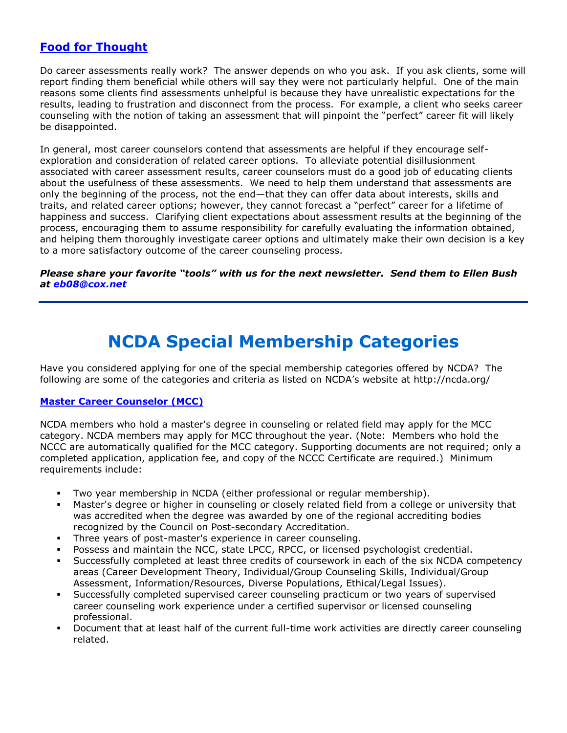# **Food for Thought**

Do career assessments really work? The answer depends on who you ask. If you ask clients, some will report finding them beneficial while others will say they were not particularly helpful. One of the main reasons some clients find assessments unhelpful is because they have unrealistic expectations for the results, leading to frustration and disconnect from the process. For example, a client who seeks career counseling with the notion of taking an assessment that will pinpoint the "perfect" career fit will likely be disappointed.

In general, most career counselors contend that assessments are helpful if they encourage selfexploration and consideration of related career options. To alleviate potential disillusionment associated with career assessment results, career counselors must do a good job of educating clients about the usefulness of these assessments. We need to help them understand that assessments are only the beginning of the process, not the end—that they can offer data about interests, skills and traits, and related career options; however, they cannot forecast a "perfect" career for a lifetime of happiness and success. Clarifying client expectations about assessment results at the beginning of the process, encouraging them to assume responsibility for carefully evaluating the information obtained, and helping them thoroughly investigate career options and ultimately make their own decision is a key to a more satisfactory outcome of the career counseling process.

*Please share your favorite "tools" with us for the next newsletter. Send them to Ellen Bush at [eb08@cox.net](mailto:eb08@cox.net)*

# **NCDA Special Membership Categories**

Have you considered applying for one of the special membership categories offered by NCDA? The following are some of the categories and criteria as listed on NCDA's website at <http://ncda.org/>

#### **Master Career Counselor (MCC)**

NCDA members who hold a master's degree in counseling or related field may apply for the MCC category. NCDA members may apply for MCC throughout the year. (Note: Members who hold the NCCC are automatically qualified for the MCC category. Supporting documents are not required; only a completed application, application fee, and copy of the NCCC Certificate are required.) Minimum requirements include:

- Two year membership in NCDA (either professional or regular membership).
- Master's degree or higher in counseling or closely related field from a college or university that was accredited when the degree was awarded by one of the regional accrediting bodies recognized by the Council on Post-secondary Accreditation.
- **Three years of post-master's experience in career counseling.**
- Possess and maintain the NCC, state LPCC, RPCC, or licensed psychologist credential.
- Successfully completed at least three credits of coursework in each of the six NCDA competency areas (Career Development Theory, Individual/Group Counseling Skills, Individual/Group Assessment, Information/Resources, Diverse Populations, Ethical/Legal Issues).
- Successfully completed supervised career counseling practicum or two years of supervised career counseling work experience under a certified supervisor or licensed counseling professional.
- Document that at least half of the current full-time work activities are directly career counseling related.